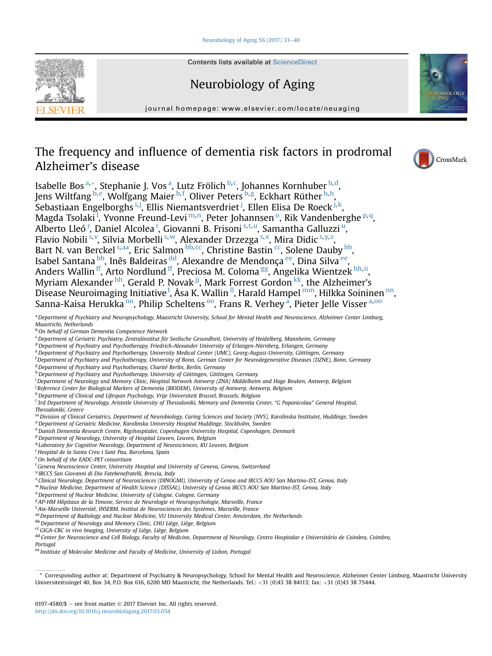## Neurobiology of Aging  $56$  (2017) 33-[40](http://dx.doi.org/10.1016/j.neurobiolaging.2017.03.034)



# Neurobiology of Aging

journal homepage: [www.elsevier.com/locate/neuaging](http://www.elsevier.com/locate/neuaging)

# The frequency and influence of dementia risk factors in prodromal Alzheimer's disease

Isabelle Bos<sup>a,</sup>\*, Stephanie J. Vos<sup>a</sup>, Lutz Frölich <sup>b, c</sup>, Johannes Kornhuber <sup>b, d</sup>, Jens Wiltfang <sup>b,e</sup>, Wolfgang Maier <sup>b,f</sup>, Oliver Peters <sup>b,g</sup>, Eckhart Rüther <sup>b,h</sup>, Sebastiaan Engelborghs i, j, Ellis Niemantsverdriet <sup>j</sup>, Ellen Elisa De Roeck <sup>j, k</sup>, Magda Tsolaki<sup>1</sup>, Yvonne Freund-Levi<sup>m,n</sup>, Peter Johannsen<sup>o</sup>, Rik Vandenberghe <sup>p,q</sup>, Alberto Lleó<sup>r</sup>, Daniel Alcolea<sup>r</sup>, Giovanni B. Frisoni <sup>s,t,u</sup>, Samantha Galluzzi<sup>u</sup>, Flavio Nobili <sup>s, v</sup>, Silvia Morbelli <sup>s, w</sup>, Alexander Drzezga <sup>s, x</sup>, Mira Didic <sup>s, y, z</sup>, Bart N. van Berckel <sup>s, aa</sup>, Eric Salmon <sup>bb, cc</sup>, Christine Bastin <sup>cc</sup>, Solene Dauby <sup>bb</sup>, Isabel Santana <sup>bb</sup>, Inês Baldeiras <sup>dd</sup>, Alexandre de Mendonça <sup>ee</sup>, Dina Silva <sup>ee</sup>, Anders Wallin <sup>[ff](#page-1-0)</sup>, Arto Nordlund <sup>ff</sup>, Preciosa M. Coloma <sup>gg</sup>, Angelika Wientzek <sup>[hh,ii](#page-1-0)</sup>, Myriam Alexander [hh](#page-1-0), Gerald P. Novak <sup>jj</sup>, Mark Forrest Gordon <sup>kk</sup>, the Alzheimer's Disease Neuroimaging Initiative<sup>[1](#page-1-0)</sup>, Åsa K. Wa[ll](#page-1-0)in <sup>II</sup>, Harald Hampel <sup>mm</sup>, Hilkka Soininen <sup>nn</sup>, Sa[nn](#page-1-0)a-Kaisa Herukka nn, Philip Scheltens <sup>[oo](#page-1-0)</sup>, Frans R. Verhey <sup>a</sup>, Pieter Jelle Visser <sup>a, oo</sup>

a Department of Psychiatry and Neuropsychology, Maastricht University, School for Mental Health and Neuroscience, Alzheimer Center Limburg, Maastricht, Netherlands

**b** On behalf of German Dementia Competence Network

<sup>c</sup> Department of Geriatric Psychiatry, Zentralinstitut für Seelische Gesundheit, University of Heidelberg, Mannheim, Germany

<sup>d</sup> Department of Psychiatry and Psychotherapy, Friedrich-Alexander University of Erlangen-Nürnberg, Erlangen, Germany

- e Department of Psychiatry and Psychotherapy, University Medical Center (UMC), Georg-August-University, Göttingen, Germany
- f Department of Psychiatry and Psychotherapy, University of Bonn, German Center for Neurodegenerative Diseases (DZNE), Bonn, Germany
- <sup>g</sup> Department of Psychiatry and Psychotherapy, Charité Berlin, Berlin, Germany
- h Department of Psychiatry and Psychotherapy, University of Göttingen, Göttingen, Germany

i Department of Neurology and Memory Clinic, Hospital Network Antwerp (ZNA) Middelheim and Hoge Beuken, Antwerp, Belgium

<sup>j</sup> Reference Center for Biological Markers of Dementia (BIODEM), University of Antwerp, Antwerp, Belgium

k Department of Clinical and Lifespan Psychology, Vrije Universiteit Brussel, Brussels, Belgium

<sup>1</sup>3rd Department of Neurology, Aristotle University of Thessaloniki, Memory and Dementia Center, "G Papanicolau" General Hospital,

Thessaloniki, Greece

<sup>m</sup> Division of Clinical Geriatrics, Department of Neurobiology, Caring Sciences and Society (NVS), Karolinska Institutet, Huddinge, Sweden

<sup>n</sup> Department of Geriatric Medicine, Karolinska University Hospital Huddinge, Stockholm, Sweden

<sup>o</sup> Danish Dementia Research Centre, Rigshospitalet, Copenhagen University Hospital, Copenhagen, Denmark

<sup>p</sup> Department of Neurology, University of Hospital Leuven, Leuven, Belgium

<sup>q</sup> Laboratory for Cognitive Neurology, Department of Neurosciences, KU Leuven, Belgium

<sup>r</sup> Hospital de la Santa Creu i Sant Pau, Barcelona, Spain

<sup>s</sup> On behalf of the EADC-PET consortium

<sup>t</sup> Geneva Neuroscience Center, University Hospital and University of Geneva, Geneva, Switzerland

<sup>u</sup> IRCCS San Giovanni di Dio Fatebenefratelli, Brescia, Italy

<sup>v</sup> Clinical Neurology, Department of Neurosciences (DINOGMI), University of Genoa and IRCCS AOU San Martino-IST, Genoa, Italy

<sup>w</sup> Nuclear Medicine, Department of Health Science (DISSAL), University of Genoa IRCCS AOU San Martino-IST, Genoa, Italy

<sup>x</sup>Department of Nuclear Medicine, University of Cologne, Cologne, Germany

<sup>y</sup> AP-HM Hôpitaux de la Timone, Service de Neurologie et Neuropsychologie, Marseille, France

<sup>z</sup> Aix-Marseille Université, INSERM, Institut de Neurosciences des Systèmes, Marseille, France

aa Department of Radiology and Nuclear Medicine, VU University Medical Center, Amsterdam, the Netherlands

bb Department of Neurology and Memory Clinic, CHU Liège, Liège, Belgium

<sup>cc</sup> GIGA-CRC in vivo Imaging, University of Liège, Liège, Belgium

dd Center for Neuroscience and Cell Biology, Faculty of Medicine, Department of Neurology, Centro Hospitalar e Universitário de Coimbra, Coimbra,

Portugal

<sup>ee</sup> Institute of Molecular Medicine and Faculty of Medicine, University of Lisbon, Portugal







<sup>\*</sup> Corresponding author at: Department of Psychiatry & Neuropsychology, School for Mental Health and Neuroscience, Alzheimer Center Limburg, Maastricht University Universiteitssingel 40, Box 34, P.O. Box 616, 6200 MD Maastricht, the Netherlands. Tel.: +31 (0)43 38 84113; fax: +31 (0)43 38 75444.

 $0197-4580/\$$  – see front matter  $\odot$  2017 Elsevier Inc. All rights reserved. <http://dx.doi.org/10.1016/j.neurobiolaging.2017.03.034>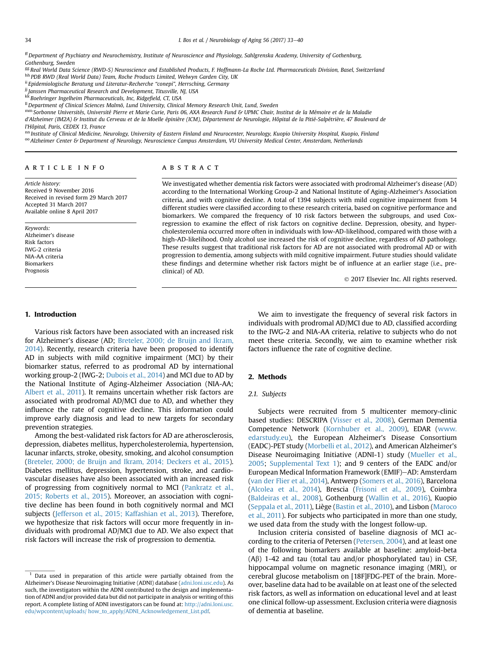<span id="page-1-0"></span>34 I. Bos et al. / Neurobiology of Aging 56 (2017) 33–40

ffDepartment of Psychiatry and Neurochemistry, Institute of Neuroscience and Physiology, Sahlgrenska Academy, University of Gothenburg, Gothenburg, Sweden

gg Real World Data Science (RWD-S) Neuroscience and Established Products, F. Hoffmann-La Roche Ltd. Pharmaceuticals Division, Basel, Switzerland hh PDB RWD (Real World Data) Team, Roche Products Limited, Welwyn Garden City, UK

ii Epidemiologische Beratung und Literatur-Recherche "conepi", Herrsching, Germany

<sup>jj</sup> Janssen Pharmaceutical Research and Development, Titusville, NJ, USA

kk Boehringer Ingelheim Pharmaceuticals, Inc, Ridgefield, CT, USA

<sup>Il</sup> Department of Clinical Sciences Malmö, Lund University, Clinical Memory Research Unit, Lund, Sweden

mm Sorbonne Universités, Université Pierre et Marie Curie, Paris 06, AXA Research Fund & UPMC Chair, Institut de la Mémoire et de la Maladie

d'Alzheimer (IM2A) & Institut du Cerveau et de la Moelle épinière (ICM), Département de Neurologie, Hôpital de la Pitié-Salpétrière, 47 Boulevard de l'Hôpital, Paris, CEDEX 13, France

nn Institute of Clinical Medicine, Neurology, University of Eastern Finland and Neurocenter, Neurology, Kuopio University Hospital, Kuopio, Finland

<sup>oo</sup> Alzheimer Center & Department of Neurology, Neuroscience Campus Amsterdam, VU University Medical Center, Amsterdam, Netherlands

# article info

Article history: Received 9 November 2016 Received in revised form 29 March 2017 Accepted 31 March 2017 Available online 8 April 2017

Keywords: Alzheimer's disease Risk factors IWG-2 criteria NIA-AA criteria Biomarkers Prognosis

# ABSTRACT

We investigated whether dementia risk factors were associated with prodromal Alzheimer's disease (AD) according to the International Working Group-2 and National Institute of Aging-Alzheimer's Association criteria, and with cognitive decline. A total of 1394 subjects with mild cognitive impairment from 14 different studies were classified according to these research criteria, based on cognitive performance and biomarkers. We compared the frequency of 10 risk factors between the subgroups, and used Coxregression to examine the effect of risk factors on cognitive decline. Depression, obesity, and hypercholesterolemia occurred more often in individuals with low-AD-likelihood, compared with those with a high-AD-likelihood. Only alcohol use increased the risk of cognitive decline, regardless of AD pathology. These results suggest that traditional risk factors for AD are not associated with prodromal AD or with progression to dementia, among subjects with mild cognitive impairment. Future studies should validate these findings and determine whether risk factors might be of influence at an earlier stage (i.e., preclinical) of AD.

2017 Elsevier Inc. All rights reserved.

## 1. Introduction

Various risk factors have been associated with an increased risk for Alzheimer's disease (AD; [Breteler, 2000; de Bruijn and Ikram,](#page-6-0) [2014](#page-6-0)). Recently, research criteria have been proposed to identify AD in subjects with mild cognitive impairment (MCI) by their biomarker status, referred to as prodromal AD by international working group-2 (IWG-2; [Dubois et al., 2014](#page-6-0)) and MCI due to AD by the National Institute of Aging-Alzheimer Association (NIA-AA; [Albert et al., 2011\)](#page-6-0). It remains uncertain whether risk factors are associated with prodromal AD/MCI due to AD, and whether they influence the rate of cognitive decline. This information could improve early diagnosis and lead to new targets for secondary prevention strategies.

Among the best-validated risk factors for AD are atherosclerosis, depression, diabetes mellitus, hypercholesterolemia, hypertension, lacunar infarcts, stroke, obesity, smoking, and alcohol consumption [\(Breteler, 2000; de Bruijn and Ikram, 2014; Deckers et al., 2015\)](#page-6-0). Diabetes mellitus, depression, hypertension, stroke, and cardiovascular diseases have also been associated with an increased risk of progressing from cognitively normal to MCI ([Pankratz et al.,](#page-7-0) [2015; Roberts et al., 2015\)](#page-7-0). Moreover, an association with cognitive decline has been found in both cognitively normal and MCI subjects ([Jefferson et al., 2015; Kaffashian et al., 2013\)](#page-6-0). Therefore, we hypothesize that risk factors will occur more frequently in individuals with prodromal AD/MCI due to AD. We also expect that risk factors will increase the risk of progression to dementia.

We aim to investigate the frequency of several risk factors in individuals with prodromal AD/MCI due to AD, classified according to the IWG-2 and NIA-AA criteria, relative to subjects who do not meet these criteria. Secondly, we aim to examine whether risk factors influence the rate of cognitive decline.

# 2. Methods

# 2.1. Subjects

Subjects were recruited from 5 multicenter memory-clinic based studies: DESCRIPA [\(Visser et al., 2008](#page-7-0)), German Dementia Competence Network ([Kornhuber et al., 2009\)](#page-6-0), EDAR ([www.](http://www.edarstudy.eu) [edarstudy.eu](http://www.edarstudy.eu)), the European Alzheimer's Disease Consortium (EADC)-PET study ([Morbelli et al., 2012\)](#page-7-0), and American Alzheimer's Disease Neuroimaging Initiative (ADNI-1) study ([Mueller et al.,](#page-7-0) [2005](#page-7-0); Supplemental Text 1); and 9 centers of the EADC and/or European Medical Information Framework (EMIF)-AD: Amsterdam ([van der Flier et al., 2014](#page-7-0)), Antwerp [\(Somers et al., 2016\)](#page-7-0), Barcelona ([Alcolea et al., 2014](#page-6-0)), Brescia [\(Frisoni et al., 2009\)](#page-6-0), Coimbra ([Baldeiras et al., 2008\)](#page-6-0), Gothenburg ([Wallin et al., 2016](#page-7-0)), Kuopio ([Seppala et al., 2011\)](#page-7-0), Liège [\(Bastin et al., 2010](#page-6-0)), and Lisbon [\(Maroco](#page-7-0) [et al., 2011\)](#page-7-0). For subjects who participated in more than one study, we used data from the study with the longest follow-up.

Inclusion criteria consisted of baseline diagnosis of MCI according to the criteria of Petersen ([Petersen, 2004\)](#page-7-0), and at least one of the following biomarkers available at baseline: amyloid-beta  $(A\beta)$  1-42 and tau (total tau and/or phosphorylated tau) in CSF, hippocampal volume on magnetic resonance imaging (MRI), or cerebral glucose metabolism on [18F]FDG-PET of the brain. Moreover, baseline data had to be available on at least one of the selected risk factors, as well as information on educational level and at least one clinical follow-up assessment. Exclusion criteria were diagnosis of dementia at baseline.

<sup>&</sup>lt;sup>1</sup> Data used in preparation of this article were partially obtained from the Alzheimer's Disease Neuroimaging Initiative (ADNI) database [\(adni.loni.usc.edu\)](http://adni.loni.usc.edu). As such, the investigators within the ADNI contributed to the design and implementation of ADNI and/or provided data but did not participate in analysis or writing of this report. A complete listing of ADNI investigators can be found at: [http://adni.loni.usc.](http://adni.loni.usc.edu/wpcontent/uploads/%20how_to_apply/ADNI_Acknowledgement_List.pdf) [edu/wpcontent/uploads/ how\\_to\\_apply/ADNI\\_Acknowledgement\\_List.pdf](http://adni.loni.usc.edu/wpcontent/uploads/%20how_to_apply/ADNI_Acknowledgement_List.pdf).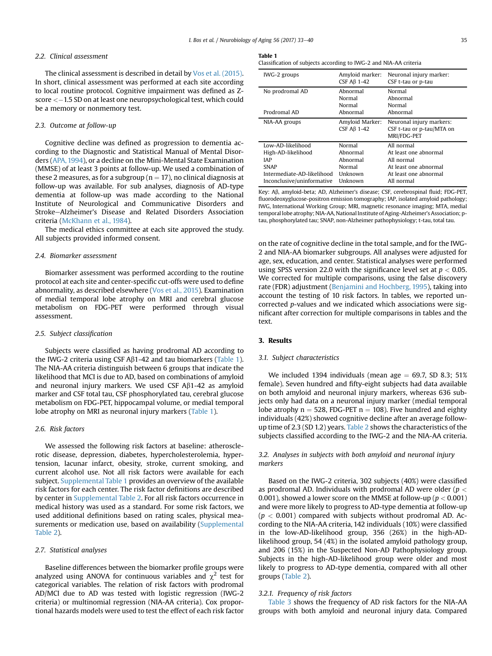## 2.2. Clinical assessment

The clinical assessment is described in detail by [Vos et al. \(2015\)](#page-7-0). In short, clinical assessment was performed at each site according to local routine protocol. Cognitive impairment was defined as Zscore <–1.5 SD on at least one neuropsychological test, which could be a memory or nonmemory test.

#### 2.3. Outcome at follow-up

Cognitive decline was defined as progression to dementia according to the Diagnostic and Statistical Manual of Mental Disorders [\(APA, 1994](#page-6-0)), or a decline on the Mini-Mental State Examination (MMSE) of at least 3 points at follow-up. We used a combination of these 2 measures, as for a subgroup ( $n = 17$ ), no clinical diagnosis at follow-up was available. For sub analyses, diagnosis of AD-type dementia at follow-up was made according to the National Institute of Neurological and Communicative Disorders and Stroke-Alzheimer's Disease and Related Disorders Association criteria ([McKhann et al., 1984](#page-7-0)).

The medical ethics committee at each site approved the study. All subjects provided informed consent.

## 2.4. Biomarker assessment

Biomarker assessment was performed according to the routine protocol at each site and center-specific cut-offs were used to define abnormality, as described elsewhere ([Vos et al., 2015\)](#page-7-0). Examination of medial temporal lobe atrophy on MRI and cerebral glucose metabolism on FDG-PET were performed through visual assessment.

#### 2.5. Subject classification

Subjects were classified as having prodromal AD according to the IWG-2 criteria using CSF A $\beta$ 1-42 and tau biomarkers (Table 1). The NIA-AA criteria distinguish between 6 groups that indicate the likelihood that MCI is due to AD, based on combinations of amyloid and neuronal injury markers. We used CSF  $A\beta$ 1-42 as amyloid marker and CSF total tau, CSF phosphorylated tau, cerebral glucose metabolism on FDG-PET, hippocampal volume, or medial temporal lobe atrophy on MRI as neuronal injury markers (Table 1).

# 2.6. Risk factors

We assessed the following risk factors at baseline: atherosclerotic disease, depression, diabetes, hypercholesterolemia, hypertension, lacunar infarct, obesity, stroke, current smoking, and current alcohol use. Not all risk factors were available for each subject. Supplemental Table 1 provides an overview of the available risk factors for each center. The risk factor definitions are described by center in Supplemental Table 2. For all risk factors occurrence in medical history was used as a standard. For some risk factors, we used additional definitions based on rating scales, physical measurements or medication use, based on availability (Supplemental Table 2).

## 2.7. Statistical analyses

Baseline differences between the biomarker profile groups were analyzed using ANOVA for continuous variables and  $\chi^2$  test for categorical variables. The relation of risk factors with prodromal AD/MCI due to AD was tested with logistic regression (IWG-2 criteria) or multinomial regression (NIA-AA criteria). Cox proportional hazards models were used to test the effect of each risk factor

#### Table 1

Classification of subjects according to IWG-2 and NIA-AA criteria

| IWG-2 groups               | Amyloid marker:<br>CSF $A\beta$ 1-42 | Neuronal injury marker:<br>CSF t-tau or p-tau |
|----------------------------|--------------------------------------|-----------------------------------------------|
| No prodromal AD            | Abnormal                             | Normal                                        |
|                            | Normal                               | Abnormal                                      |
|                            | Normal                               | Normal                                        |
| Prodromal AD               | Abnormal                             | Abnormal                                      |
| NIA-AA groups              | Amyloid Marker:                      | Neuronal injury markers:                      |
|                            | CSF $A\beta$ 1-42                    | CSF t-tau or p-tau/MTA on                     |
|                            |                                      | MRI/FDG-PET                                   |
| Low-AD-likelihood          | Normal                               | All normal                                    |
| High-AD-likelihood         | Abnormal                             | At least one abnormal                         |
| <b>IAP</b>                 | Abnormal                             | All normal                                    |
| <b>SNAP</b>                | Normal                               | At least one abnormal                         |
| Intermediate-AD-likelihood | Unknown                              | At least one abnormal                         |
| Inconclusive/uninformative | Unknown                              | All normal                                    |

Key: Ab, amyloid-beta; AD, Alzheimer's disease; CSF, cerebrospinal fluid; FDG-PET, fluorodeoxyglucose-positron emission tomography; IAP, isolated amyloid pathology; IWG, International Working Group; MRI, magnetic resonance imaging; MTA, medial temporal lobe atrophy; NIA-AA, National Institute of Aging-Alzheimer's Association; ptau, phosphorylated tau; SNAP, non-Alzheimer pathophysiology; t-tau, total tau.

on the rate of cognitive decline in the total sample, and for the IWG-2 and NIA-AA biomarker subgroups. All analyses were adjusted for age, sex, education, and center. Statistical analyses were performed using SPSS version 22.0 with the significance level set at  $p < 0.05$ . We corrected for multiple comparisons, using the false discovery rate (FDR) adjustment ([Benjamini and Hochberg, 1995\)](#page-6-0), taking into account the testing of 10 risk factors. In tables, we reported uncorrected p-values and we indicated which associations were significant after correction for multiple comparisons in tables and the text.

## 3. Results

#### 3.1. Subject characteristics

We included 1394 individuals (mean age  $= 69.7$ , SD 8.3; 51% female). Seven hundred and fifty-eight subjects had data available on both amyloid and neuronal injury markers, whereas 636 subjects only had data on a neuronal injury marker (medial temporal lobe atrophy  $n = 528$ , FDG-PET  $n = 108$ ). Five hundred and eighty individuals (42%) showed cognitive decline after an average follow-up time of 2.3 (SD 1.2) years. [Table 2](#page-3-0) shows the characteristics of the subjects classified according to the IWG-2 and the NIA-AA criteria.

## 3.2. Analyses in subjects with both amyloid and neuronal injury markers

Based on the IWG-2 criteria, 302 subjects (40%) were classified as prodromal AD. Individuals with prodromal AD were older ( $p <$ 0.001), showed a lower score on the MMSE at follow-up ( $p < 0.001$ ) and were more likely to progress to AD-type dementia at follow-up  $(p < 0.001)$  compared with subjects without prodromal AD. According to the NIA-AA criteria, 142 individuals (10%) were classified in the low-AD-likelihood group, 356 (26%) in the high-ADlikelihood group, 54 (4%) in the isolated amyloid pathology group, and 206 (15%) in the Suspected Non-AD Pathophysiology group. Subjects in the high-AD-likelihood group were older and most likely to progress to AD-type dementia, compared with all other groups ([Table 2\)](#page-3-0).

#### 3.2.1. Frequency of risk factors

[Table 3](#page-4-0) shows the frequency of AD risk factors for the NIA-AA groups with both amyloid and neuronal injury data. Compared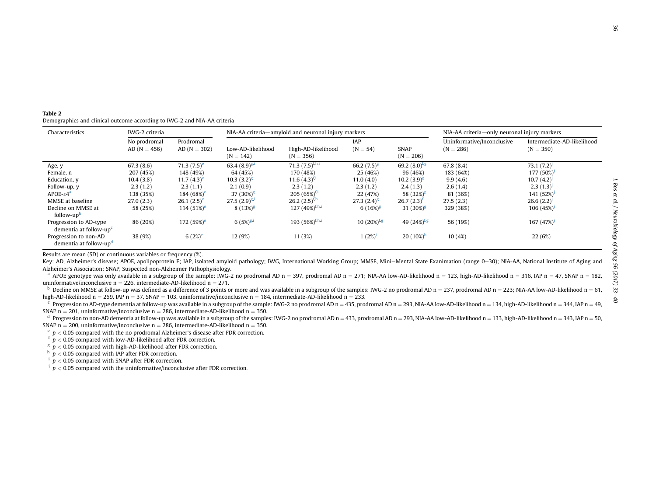| မ္ပ                                                                    |  |
|------------------------------------------------------------------------|--|
|                                                                        |  |
|                                                                        |  |
|                                                                        |  |
|                                                                        |  |
|                                                                        |  |
|                                                                        |  |
|                                                                        |  |
|                                                                        |  |
|                                                                        |  |
|                                                                        |  |
|                                                                        |  |
|                                                                        |  |
|                                                                        |  |
|                                                                        |  |
|                                                                        |  |
|                                                                        |  |
|                                                                        |  |
|                                                                        |  |
|                                                                        |  |
|                                                                        |  |
|                                                                        |  |
|                                                                        |  |
|                                                                        |  |
|                                                                        |  |
|                                                                        |  |
|                                                                        |  |
|                                                                        |  |
|                                                                        |  |
|                                                                        |  |
|                                                                        |  |
|                                                                        |  |
|                                                                        |  |
|                                                                        |  |
|                                                                        |  |
|                                                                        |  |
|                                                                        |  |
|                                                                        |  |
|                                                                        |  |
|                                                                        |  |
|                                                                        |  |
| j                                                                      |  |
|                                                                        |  |
|                                                                        |  |
|                                                                        |  |
|                                                                        |  |
|                                                                        |  |
|                                                                        |  |
|                                                                        |  |
| ֖ׅׅׅׅׅ֧֚֚֚֚֚֚֚֚֚֚֚֚֚֚֚֚֚֡֕֡֕֜֓֡֡֜֓֡֡֓֡֜֓֡֡֓                            |  |
|                                                                        |  |
| sugare I use an one is                                                 |  |
|                                                                        |  |
|                                                                        |  |
|                                                                        |  |
|                                                                        |  |
| $\mathcal{L}$                                                          |  |
|                                                                        |  |
|                                                                        |  |
|                                                                        |  |
|                                                                        |  |
| Í                                                                      |  |
|                                                                        |  |
|                                                                        |  |
| ֧֦֧֦֧֦֧֦֧֦֧֦֧֦֧֧֦֧֧֦֧֧֦֧֧֧֧֧֪֪֪֪֪֪֪֪֪֪֪֛֚֚֚֚֚֚֚֚֚֚֚֚֚֚֚֚֚֝֜֡֓֜֓֜֓֓֜֓֜֝ |  |
|                                                                        |  |
|                                                                        |  |
|                                                                        |  |
|                                                                        |  |
| こっきょう                                                                  |  |
|                                                                        |  |
| nt-CC (1107) or Suivisity<br>,                                         |  |

<span id="page-3-0"></span>

| Table 2 |                                                                          |
|---------|--------------------------------------------------------------------------|
|         | Demographics and clinical outcome according to IWG-2 and NIA-AA criteria |

| Characteristics                                              | IWG-2 criteria                 |                             | NIA-AA criteria—amyloid and neuronal injury markers |                                   |                           | NIA-AA criteria—only neuronal injury markers |                                           |                                           |
|--------------------------------------------------------------|--------------------------------|-----------------------------|-----------------------------------------------------|-----------------------------------|---------------------------|----------------------------------------------|-------------------------------------------|-------------------------------------------|
|                                                              | No prodromal<br>$AD (N = 456)$ | Prodromal<br>$AD (N = 302)$ | Low-AD-likelihood<br>$(N = 142)$                    | High-AD-likelihood<br>$(N = 356)$ | <b>IAP</b><br>$(N = 54)$  | <b>SNAP</b><br>$(N = 206)$                   | Uninformative/Inconclusive<br>$(N = 286)$ | Intermediate-AD-likelihood<br>$(N = 350)$ |
| Age, y                                                       | 67.3(8.6)                      | 71.3 $(7.5)^e$              | 63.4 $(8.9)^{g,i}$                                  | 71.3 $(7.5)^{f,h,i}$              | 66.2 $(7.5)^{g}$          | 69.2 $(8.0)^{fg}$                            | 67.8(8.4)                                 | 73.1(7.2)                                 |
| Female, n                                                    | 207 (45%)                      | 148 (49%)                   | 64 (45%)                                            | 170 (48%)                         | 25 (46%)                  | 96 (46%)                                     | 183 (64%)                                 | 177 (50%)                                 |
| Education, y                                                 | 10.4(3.8)                      | 11.7 $(4.3)^e$              | $10.3(3.2)^g$                                       | $11.6(4.3)^{f,i}$                 | 11.0(4.0)                 | $10.2(3.9)^{g}$                              | 9.9(4.6)                                  | 10.7(4.2)                                 |
| Follow-up, y                                                 | 2.3(1.2)                       | 2.3(1.1)                    | 2.1(0.9)                                            | 2.3(1.2)                          | 2.3(1.2)                  | 2.4(1.3)                                     | 2.6(1.4)                                  | 2.3(1.3)                                  |
| $APOE - \varepsilon 4^a$                                     | 138 (35%)                      | 184 $(68%)^e$               | 37 $(30\%)^g$                                       | $205(65\%)^{t,1}$                 | 22 (47%)                  | 58 $(32%)^g$                                 | 81 (36%)                                  | 141 (52%)                                 |
| MMSE at baseline                                             | 27.0(2.3)                      | 26.1 $(2.5)^e$              | $27.5(2.9)^{g,1}$                                   | 26.2 $(2.5)^{f,h}$                | $27.3(2.4)^{g}$           | $26.7(2.3)^t$                                | 27.5(2.3)                                 | 26.6(2.2)                                 |
| Decline on MMSE at<br>follow-up <sup>b</sup>                 | 58 (25%)                       | 114 $(51\%)^e$              | 8 $(13\%)^g$                                        | 127 (49%) <sup>f,h,i</sup>        | $6(16\%)^g$               | 31 $(30\%)^g$                                | 329 (38%)                                 | 106(45%)                                  |
| Progression to AD-type<br>dementia at follow-up <sup>c</sup> | 86 (20%)                       | 172 (59%) <sup>e</sup>      | 6 $(5%)^{g,i}$                                      | 193 (56%) <sup>f,h,i</sup>        | $10(20\%)$ <sup>f,g</sup> | 49 $(24%)^{f,g}$                             | 56 (19%)                                  | 167(47%)                                  |
| Progression to non-AD<br>dementia at follow-up <sup>d</sup>  | 38 (9%)                        | 6 $(2%)^e$                  | 12 (9%)                                             | 11 (3%)                           | 1(2%)                     | $20(10\%)^h$                                 | 10(4%)                                    | 22 (6%)                                   |

Results are mean (SD) or continuous variables or frequency (%).

Key: AD, Alzheimer's disease; APOE, apolipoprotein E; IAP, isolated amyloid pathology; IWG, International Working Group; MMSE, Mini-Mental State Exanimation (range 0-30); NIA-AA, National Institute of Aging and Alzheimer'<sup>s</sup> Association; SNAP, Suspected non-Alzheimer Pathophysiology.

 $^{\text{a}}$  APOE genotype was only available in a subgroup of the sample: IWG-2 no prodromal AD n = 397, prodromal AD n = 271; NIA-AA low-AD-likelihood n = 123, high-AD-likelihood n = 316, IAP n = 47, SNAP n = 182, uninformative/inconclusive  $n = 226$ , intermediate-AD-likelihood  $n = 271$ .

 $^{\text{b}}$  Decline on MMSE at follow-up was defined as a difference of 3 points or more and was available in a subgroup of the samples: IWG-2 no prodromal AD n = 237, prodromal AD n = 223; NIA-AA low-AD-likelihood n = 61, high-AD-likelihood n = 259, IAP n = 37, SNAP = 103, uninformative/inconclusive n = 184, intermediate-AD-likelihood n = 233.

 $\rm ^c$  Progression to AD-type dementia at follow-up was available in a subgroup of the sample: IWG-2 no prodromal AD n = 435, prodromal AD n = 293, NIA-AA low-AD-likelihood n = 134, high-AD-likelihood n = 344, IAP n = 49, SNAP n = 201, uninformative/inconclusive n = 286, intermediate-AD-likelihood n = 350.

 $^{\text{d}}$  Progression to non-AD dementia at follow-up was available in a subgroup of the samples: IWG-2 no prodromal AD n = 433, prodromal AD n = 293, NIA-AA low-AD-likelihood n = 133, high-AD-likelihood n = 343, IAP n = 5 SNAP n = 200, uninformative/inconclusive n = 286, intermediate-AD-likelihood n = 350.

 $\epsilon$   $p < 0.05$  compared with the no prodromal Alzheimer's disease after FDR correction.

 $f \, p < 0.05$  compared with low-AD-likelihood after FDR correction.

 $g$   $p$  < 0.05 compared with high-AD-likelihood after FDR correction.

 $h$   $p < 0.05$  compared with IAP after FDR correction.

 $i$   $p < 0.05$  compared with SNAP after FDR correction.

 $\mu$   $p$  < 0.05 compared with the uninformative/inconclusive after FDR correction.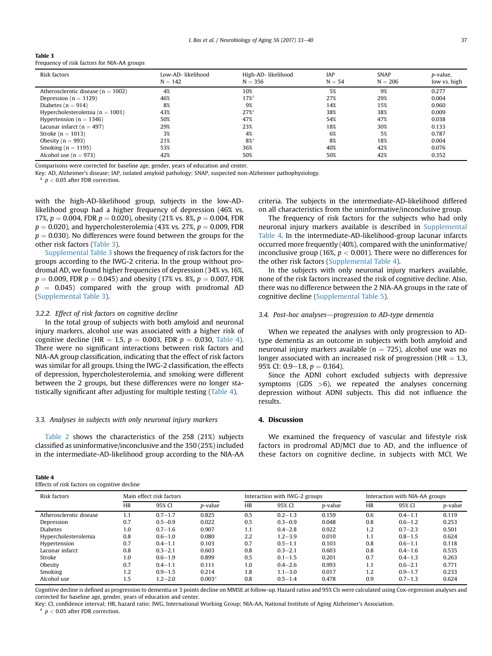<span id="page-4-0"></span>

| Table 3                                     |  |  |
|---------------------------------------------|--|--|
| Frequency of risk factors for NIA-AA groups |  |  |

| Risk factors                           | Low-AD- likelihood<br>$N = 142$ | High-AD- likelihood<br>$N = 356$         | IAP<br>$N = 54$ | <b>SNAP</b><br>$N = 206$ | p-value,<br>low vs. high |
|----------------------------------------|---------------------------------|------------------------------------------|-----------------|--------------------------|--------------------------|
| Atherosclerotic disease ( $n = 1002$ ) | 4%                              | 10%                                      | 5%              | 9%                       | 0.277                    |
| Depression ( $n = 1129$ )              | 46%                             | $17\%$ <sup>a</sup>                      | 27%             | 29%                      | 0.004                    |
| Diabetes ( $n = 914$ )                 | 8%                              | 9%                                       | 14%             | 15%                      | 0.960                    |
| Hypercholesterolemia ( $n = 1001$ )    | 43%                             | $27%$ <sup><math>\alpha</math></sup>     | 38%             | 38%                      | 0.009                    |
| Hypertension ( $n = 1346$ )            | 50%                             | 47%                                      | 54%             | 47%                      | 0.038                    |
| Lacunar infarct ( $n = 497$ )          | 29%                             | 23%                                      | 18%             | 30%                      | 0.133                    |
| Stroke ( $n = 1013$ )                  | 3%                              | 4%                                       | 6%              | 5%                       | 0.787                    |
| Obesity ( $n = 993$ )                  | 21%                             | $8%$ <sup><math>\frac{3}{2}</math></sup> | 8%              | 18%                      | 0.004                    |
| Smoking ( $n = 1195$ )                 | 53%                             | 36%                                      | 40%             | 42%                      | 0.076                    |
| Alcohol use $(n = 973)$                | 42%                             | 50%                                      | 50%             | 42%                      | 0.352                    |

Comparisons were corrected for baseline age, gender, years of education and center.

Key: AD, Alzheimer's disease; IAP, isolated amyloid pathology; SNAP, suspected non-Alzheimer pathophysiology.

 $p < 0.05$  after FDR correction.

with the high-AD-likelihood group, subjects in the low-ADlikelihood group had a higher frequency of depression (46% vs. 17%,  $p = 0.004$ , FDR  $p = 0.020$ ), obesity (21% vs. 8%,  $p = 0.004$ , FDR  $p = 0.020$ ), and hypercholesterolemia (43% vs. 27%,  $p = 0.009$ , FDR  $p = 0.030$ ). No differences were found between the groups for the other risk factors (Table 3).

Supplemental Table 3 shows the frequency of risk factors for the groups according to the IWG-2 criteria. In the group without prodromal AD, we found higher frequencies of depression (34% vs. 16%,  $p = 0.009$ , FDR  $p = 0.045$ ) and obesity (17% vs. 8%,  $p = 0.007$ , FDR  $p = 0.045$ ) compared with the group with prodromal AD (Supplemental Table 3).

## 3.2.2. Effect of risk factors on cognitive decline

In the total group of subjects with both amyloid and neuronal injury markers, alcohol use was associated with a higher risk of cognitive decline (HR = 1.5,  $p = 0.003$ , FDR  $p = 0.030$ , Table 4). There were no significant interactions between risk factors and NIA-AA group classification, indicating that the effect of risk factors was similar for all groups. Using the IWG-2 classification, the effects of depression, hypercholesterolemia, and smoking were different between the 2 groups, but these differences were no longer statistically significant after adjusting for multiple testing (Table 4).

## 3.3. Analyses in subjects with only neuronal injury markers

[Table 2](#page-3-0) shows the characteristics of the 258 (21%) subjects classified as uninformative/inconclusive and the 350 (25%) included in the intermediate-AD-likelihood group according to the NIA-AA

#### Table 4

Effects of risk factors on cognitive decline

criteria. The subjects in the intermediate-AD-likelihood differed on all characteristics from the uninformative/inconclusive group.

The frequency of risk factors for the subjects who had only neuronal injury markers available is described in Supplemental Table 4. In the intermediate-AD-likelihood-group lacunar infarcts occurred more frequently (40%), compared with the uninformative/ inconclusive group (16%,  $p < 0.001$ ). There were no differences for the other risk factors (Supplemental Table 4).

In the subjects with only neuronal injury markers available, none of the risk factors increased the risk of cognitive decline. Also, there was no difference between the 2 NIA-AA groups in the rate of cognitive decline (Supplemental Table 5).

## 3.4. Post-hoc analyses-progression to AD-type dementia

When we repeated the analyses with only progression to ADtype dementia as an outcome in subjects with both amyloid and neuronal injury markers available ( $n = 725$ ), alcohol use was no longer associated with an increased risk of progression ( $HR = 1.3$ , 95% CI: 0.9–1.8,  $p = 0.164$ ).

Since the ADNI cohort excluded subjects with depressive symptoms (GDS  $>6$ ), we repeated the analyses concerning depression without ADNI subjects. This did not influence the results.

## 4. Discussion

We examined the frequency of vascular and lifestyle risk factors in prodromal AD/MCI due to AD, and the influence of these factors on cognitive decline, in subjects with MCI. We

| Risk factors            | Main effect risk factors |             |                    | Interaction with IWG-2 groups |             |                 | Interaction with NIA-AA groups |             |         |
|-------------------------|--------------------------|-------------|--------------------|-------------------------------|-------------|-----------------|--------------------------------|-------------|---------|
|                         | <b>HR</b>                | 95% CI      | <i>p</i> -value    | <b>HR</b>                     | 95% CI      | <i>p</i> -value | <b>HR</b>                      | 95% CI      | p-value |
| Atherosclerotic disease | 1.1                      | $0.7 - 1.7$ | 0.825              | 0.5                           | $0.2 - 1.3$ | 0.159           | 0.6                            | $0.4 - 1.1$ | 0.119   |
| Depression              | 0.7                      | $0.5 - 0.9$ | 0.022              | 0.5                           | $0.3 - 0.9$ | 0.048           | 0.8                            | $0.6 - 1.2$ | 0.253   |
| <b>Diabetes</b>         | 1.0                      | $0.7 - 1.6$ | 0.907              | 1.1                           | $0.4 - 2.8$ | 0.922           | 1.2                            | $0.7 - 2.3$ | 0.501   |
| Hypercholesterolemia    | 0.8                      | $0.6 - 1.0$ | 0.080              | 2.2                           | $1.2 - 3.9$ | 0.010           | 1.1                            | $0.8 - 1.5$ | 0.624   |
| Hypertension            | 0.7                      | $0.4 - 1.1$ | 0.103              | 0.7                           | $0.5 - 1.1$ | 0.103           | 0.8                            | $0.6 - 1.1$ | 0.118   |
| Lacunar infarct         | 0.8                      | $0.3 - 2.1$ | 0.603              | 0.8                           | $0.3 - 2.1$ | 0.603           | 0.8                            | $0.4 - 1.6$ | 0.535   |
| Stroke                  | 1.0                      | $0.6 - 1.9$ | 0.899              | 0.5                           | $0.1 - 1.5$ | 0.201           | 0.7                            | $0.4 - 1.3$ | 0.263   |
| Obesity                 | 0.7                      | $0.4 - 1.1$ | 0.111              | 1.0                           | $0.4 - 2.6$ | 0.993           | 1.1                            | $0.6 - 2.1$ | 0.771   |
| Smoking                 | 1.2                      | $0.9 - 1.5$ | 0.214              | 1.8                           | $1.1 - 3.0$ | 0.017           | 1.2                            | $0.9 - 1.7$ | 0.233   |
| Alcohol use             | 1.5                      | $1.2 - 2.0$ | 0.003 <sup>a</sup> | 0.8                           | $0.5 - 1.4$ | 0.478           | 0.9                            | $0.7 - 1.3$ | 0.624   |

Cognitive decline is defined as progression to dementia or 3 points decline on MMSE at follow-up. Hazard ratios and 95% CIs were calculated using Cox-regression analyses and corrected for baseline age, gender, years of education and center.

Key: CI, confidence interval; HR, hazard ratio; IWG, International Working Group; NIA-AA, National Institute of Aging Alzheimer's Association.

 $p < 0.05$  after FDR correction.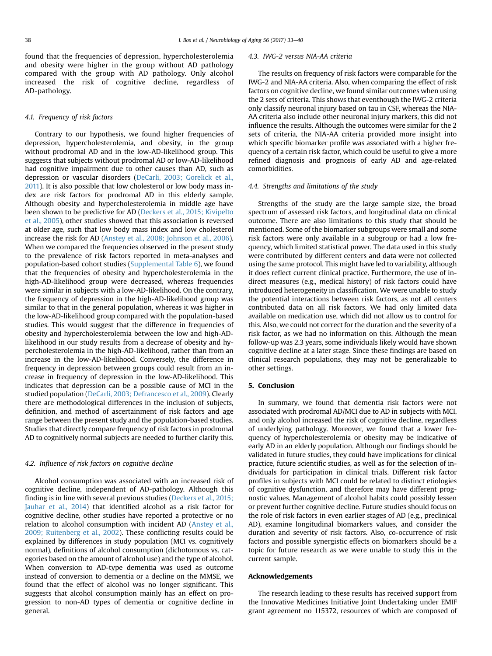found that the frequencies of depression, hypercholesterolemia and obesity were higher in the group without AD pathology compared with the group with AD pathology. Only alcohol increased the risk of cognitive decline, regardless of AD-pathology.

## 4.1. Frequency of risk factors

Contrary to our hypothesis, we found higher frequencies of depression, hypercholesterolemia, and obesity, in the group without prodromal AD and in the low-AD-likelihood group. This suggests that subjects without prodromal AD or low-AD-likelihood had cognitive impairment due to other causes than AD, such as depression or vascular disorders ([DeCarli, 2003; Gorelick et al.,](#page-6-0) [2011\)](#page-6-0). It is also possible that low cholesterol or low body mass index are risk factors for prodromal AD in this elderly sample. Although obesity and hypercholesterolemia in middle age have been shown to be predictive for AD ([Deckers et al., 2015; Kivipelto](#page-6-0) [et al., 2005\)](#page-6-0), other studies showed that this association is reversed at older age, such that low body mass index and low cholesterol increase the risk for AD ([Anstey et al., 2008; Johnson et al., 2006\)](#page-6-0). When we compared the frequencies observed in the present study to the prevalence of risk factors reported in meta-analyses and population-based cohort studies (Supplemental Table 6), we found that the frequencies of obesity and hypercholesterolemia in the high-AD-likelihood group were decreased, whereas frequencies were similar in subjects with a low-AD-likelihood. On the contrary, the frequency of depression in the high-AD-likelihood group was similar to that in the general population, whereas it was higher in the low-AD-likelihood group compared with the population-based studies. This would suggest that the difference in frequencies of obesity and hypercholesterolemia between the low and high-ADlikelihood in our study results from a decrease of obesity and hypercholesterolemia in the high-AD-likelihood, rather than from an increase in the low-AD-likelihood. Conversely, the difference in frequency in depression between groups could result from an increase in frequency of depression in the low-AD-likelihood. This indicates that depression can be a possible cause of MCI in the studied population [\(DeCarli, 2003; Defrancesco et al., 2009](#page-6-0)). Clearly there are methodological differences in the inclusion of subjects, definition, and method of ascertainment of risk factors and age range between the present study and the population-based studies. Studies that directly compare frequency of risk factors in prodromal AD to cognitively normal subjects are needed to further clarify this.

# 4.2. Influence of risk factors on cognitive decline

Alcohol consumption was associated with an increased risk of cognitive decline, independent of AD-pathology. Although this finding is in line with several previous studies [\(Deckers et al., 2015;](#page-6-0) [Jauhar et al., 2014](#page-6-0)) that identified alcohol as a risk factor for cognitive decline, other studies have reported a protective or no relation to alcohol consumption with incident AD [\(Anstey et al.,](#page-6-0) [2009; Ruitenberg et al., 2002\)](#page-6-0). These conflicting results could be explained by differences in study population (MCI vs. cognitively normal), definitions of alcohol consumption (dichotomous vs. categories based on the amount of alcohol use) and the type of alcohol. When conversion to AD-type dementia was used as outcome instead of conversion to dementia or a decline on the MMSE, we found that the effect of alcohol was no longer significant. This suggests that alcohol consumption mainly has an effect on progression to non-AD types of dementia or cognitive decline in general.

#### 4.3. IWG-2 versus NIA-AA criteria

The results on frequency of risk factors were comparable for the IWG-2 and NIA-AA criteria. Also, when comparing the effect of risk factors on cognitive decline, we found similar outcomes when using the 2 sets of criteria. This shows that eventhough the IWG-2 criteria only classify neuronal injury based on tau in CSF, whereas the NIA-AA criteria also include other neuronal injury markers, this did not influence the results. Although the outcomes were similar for the 2 sets of criteria, the NIA-AA criteria provided more insight into which specific biomarker profile was associated with a higher frequency of a certain risk factor, which could be useful to give a more refined diagnosis and prognosis of early AD and age-related comorbidities.

# 4.4. Strengths and limitations of the study

Strengths of the study are the large sample size, the broad spectrum of assessed risk factors, and longitudinal data on clinical outcome. There are also limitations to this study that should be mentioned. Some of the biomarker subgroups were small and some risk factors were only available in a subgroup or had a low frequency, which limited statistical power. The data used in this study were contributed by different centers and data were not collected using the same protocol. This might have led to variability, although it does reflect current clinical practice. Furthermore, the use of indirect measures (e.g., medical history) of risk factors could have introduced heterogeneity in classification. We were unable to study the potential interactions between risk factors, as not all centers contributed data on all risk factors. We had only limited data available on medication use, which did not allow us to control for this. Also, we could not correct for the duration and the severity of a risk factor, as we had no information on this. Although the mean follow-up was 2.3 years, some individuals likely would have shown cognitive decline at a later stage. Since these findings are based on clinical research populations, they may not be generalizable to other settings.

# 5. Conclusion

In summary, we found that dementia risk factors were not associated with prodromal AD/MCI due to AD in subjects with MCI, and only alcohol increased the risk of cognitive decline, regardless of underlying pathology. Moreover, we found that a lower frequency of hypercholesterolemia or obesity may be indicative of early AD in an elderly population. Although our findings should be validated in future studies, they could have implications for clinical practice, future scientific studies, as well as for the selection of individuals for participation in clinical trials. Different risk factor profiles in subjects with MCI could be related to distinct etiologies of cognitive dysfunction, and therefore may have different prognostic values. Management of alcohol habits could possibly lessen or prevent further cognitive decline. Future studies should focus on the role of risk factors in even earlier stages of AD (e.g., preclinical AD), examine longitudinal biomarkers values, and consider the duration and severity of risk factors. Also, co-occurrence of risk factors and possible synergistic effects on biomarkers should be a topic for future research as we were unable to study this in the current sample.

# Acknowledgements

The research leading to these results has received support from the Innovative Medicines Initiative Joint Undertaking under EMIF grant agreement no 115372, resources of which are composed of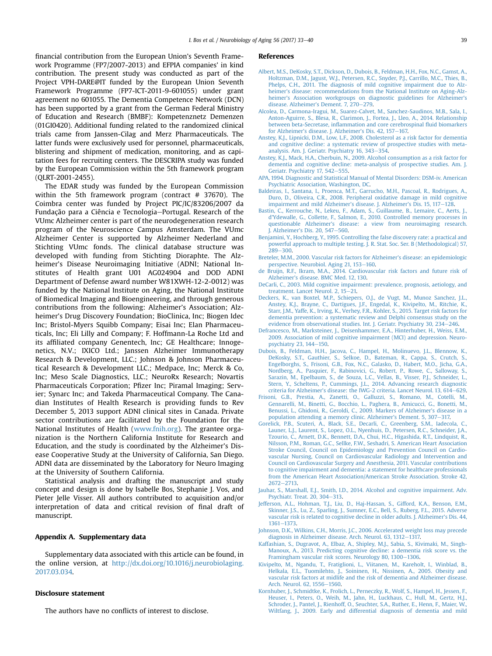<span id="page-6-0"></span>financial contribution from the European Union's Seventh Framework Programme (FP7/2007-2013) and EFPIA companies' in kind contribution. The present study was conducted as part of the Project VPH-DARE@IT funded by the European Union Seventh Framework Programme (FP7-ICT-2011-9-601055) under grant agreement no 601055. The Dementia Competence Network (DCN) has been supported by a grant from the German Federal Ministry of Education and Research (BMBF): Kompetenznetz Demenzen (01GI0420). Additional funding related to the randomized clinical trials came from Janssen-Cilag and Merz Pharmaceuticals. The latter funds were exclusively used for personnel, pharmaceuticals, blistering and shipment of medication, monitoring, and as capitation fees for recruiting centers. The DESCRIPA study was funded by the European Commission within the 5th framework program (QLRT-2001-2455).

The EDAR study was funded by the European Commission within the 5th framework program (contract # 37670). The Coimbra center was funded by Project PIC/IC/83206/2007 da Fundação para a Ciência e Tecnologia-Portugal. Research of the VUmc Alzheimer center is part of the neurodegeneration research program of the Neuroscience Campus Amsterdam. The VUmc Alzheimer Center is supported by Alzheimer Nederland and Stichting VUmc fonds. The clinical database structure was developed with funding from Stichting Dioraphte. The Alzheimer's Disease Neuroimaging Initiative (ADNI; National Institutes of Health grant U01 AG024904 and DOD ADNI Department of Defense award number W81XWH-12-2-0012) was funded by the National Institute on Aging, the National Institute of Biomedical Imaging and Bioengineering, and through generous contributions from the following: Alzheimer's Association; Alzheimer's Drug Discovery Foundation; BioClinica, Inc; Biogen Idec Inc; Bristol-Myers Squibb Company; Eisai Inc; Elan Pharmaceuticals, Inc; Eli Lilly and Company; F. Hoffmann-La Roche Ltd and its affiliated company Genentech, Inc; GE Healthcare; Innogenetics, N.V.; IXICO Ltd.; Janssen Alzheimer Immunotherapy Research & Development, LLC.; Johnson & Johnson Pharmaceutical Research & Development LLC.; Medpace, Inc; Merck & Co, Inc; Meso Scale Diagnostics, LLC.; NeuroRx Research; Novartis Pharmaceuticals Corporation; Pfizer Inc; Piramal Imaging; Servier; Synarc Inc; and Takeda Pharmaceutical Company. The Canadian Institutes of Health Research is providing funds to Rev December 5, 2013 support ADNI clinical sites in Canada. Private sector contributions are facilitated by the Foundation for the National Institutes of Health ([www.fnih.org\)](http://www.fnih.org). The grantee organization is the Northern California Institute for Research and Education, and the study is coordinated by the Alzheimer's Disease Cooperative Study at the University of California, San Diego. ADNI data are disseminated by the Laboratory for Neuro Imaging at the University of Southern California.

Statistical analysis and drafting the manuscript and study concept and design is done by Isabelle Bos, Stephanie J. Vos, and Pieter Jelle Visser. All authors contributed to acquisition and/or interpretation of data and critical revision of final draft of manuscript.

## Appendix A. Supplementary data

Supplementary data associated with this article can be found, in the online version, at [http://dx.doi.org/10.1016/j.neurobiolaging.](http://dx.doi.org/10.1016/j.neurobiolaging.2017.03.034) [2017.03.034](http://dx.doi.org/10.1016/j.neurobiolaging.2017.03.034).

#### Disclosure statement

The authors have no conflicts of interest to disclose.

#### References

- [Albert, M.S., DeKosky, S.T., Dickson, D., Dubois, B., Feldman, H.H., Fox, N.C., Gamst, A.,](http://refhub.elsevier.com/S0197-4580(17)30117-3/sref1) [Holtzman, D.M., Jagust, W.J., Petersen, R.C., Snyder, P.J., Carrillo, M.C., Thies, B.,](http://refhub.elsevier.com/S0197-4580(17)30117-3/sref1) [Phelps, C.H., 2011. The diagnosis of mild cognitive impairment due to Alz](http://refhub.elsevier.com/S0197-4580(17)30117-3/sref1)heimer'[s disease: recommendations from the National Institute on Aging-Alz](http://refhub.elsevier.com/S0197-4580(17)30117-3/sref1)heimer'[s Association workgroups on diagnostic guidelines for Alzheimer](http://refhub.elsevier.com/S0197-4580(17)30117-3/sref1)'s [disease. Alzheimer](http://refhub.elsevier.com/S0197-4580(17)30117-3/sref1)'s Dement. 7, 270-[279.](http://refhub.elsevier.com/S0197-4580(17)30117-3/sref1)
- [Alcolea, D., Carmona-Iragui, M., Suarez-Calvet, M., Sanchez-Saudinos, M.B., Sala, I.,](http://refhub.elsevier.com/S0197-4580(17)30117-3/sref2) [Anton-Aguirre, S., Blesa, R., Clarimon, J., Fortea, J., Lleo, A., 2014. Relationship](http://refhub.elsevier.com/S0197-4580(17)30117-3/sref2) between beta-Secretase, infl[ammation and core cerebrospinal](http://refhub.elsevier.com/S0197-4580(17)30117-3/sref2) fluid biomarkers for Alzheimer'[s disease. J. Alzheimer](http://refhub.elsevier.com/S0197-4580(17)30117-3/sref2)'s Dis. 42, 157-[167.](http://refhub.elsevier.com/S0197-4580(17)30117-3/sref2)
- [Anstey, K.J., Lipnicki, D.M., Low, L.F., 2008. Cholesterol as a risk factor for dementia](http://refhub.elsevier.com/S0197-4580(17)30117-3/sref3) [and cognitive decline: a systematic review of prospective studies with meta](http://refhub.elsevier.com/S0197-4580(17)30117-3/sref3)[analysis. Am. J. Geriatr. Psychiatry 16, 343](http://refhub.elsevier.com/S0197-4580(17)30117-3/sref3)-[354](http://refhub.elsevier.com/S0197-4580(17)30117-3/sref3).
- [Anstey, K.J., Mack, H.A., Cherbuin, N., 2009. Alcohol consumption as a risk factor for](http://refhub.elsevier.com/S0197-4580(17)30117-3/sref4) [dementia and cognitive decline: meta-analysis of prospective studies. Am. J.](http://refhub.elsevier.com/S0197-4580(17)30117-3/sref4) [Geriatr. Psychiatry 17, 542](http://refhub.elsevier.com/S0197-4580(17)30117-3/sref4)-[555.](http://refhub.elsevier.com/S0197-4580(17)30117-3/sref4)
- [APA, 1994. Diagnostic and Statistical Manual of Mental Disorders: DSM-iv. American](http://refhub.elsevier.com/S0197-4580(17)30117-3/sref5) [Psychiatric Association, Washington, DC.](http://refhub.elsevier.com/S0197-4580(17)30117-3/sref5)
- [Baldeiras, I., Santana, I., Proenca, M.T., Garrucho, M.H., Pascoal, R., Rodrigues, A.,](http://refhub.elsevier.com/S0197-4580(17)30117-3/sref6) [Duro, D., Oliveira, C.R., 2008. Peripheral oxidative damage in mild cognitive](http://refhub.elsevier.com/S0197-4580(17)30117-3/sref6) [impairment and mild Alzheimer](http://refhub.elsevier.com/S0197-4580(17)30117-3/sref6)'s disease. J. Alzheimer's Dis. 15, 117-[128.](http://refhub.elsevier.com/S0197-4580(17)30117-3/sref6)
- [Bastin, C., Kerrouche, N., Lekeu, F., Adam, S., Guillaume, B., Lemaire, C., Aerts, J.,](http://refhub.elsevier.com/S0197-4580(17)30117-3/sref7) d'[Ydewalle, G., Collette, F., Salmon, E., 2010. Controlled memory processes in](http://refhub.elsevier.com/S0197-4580(17)30117-3/sref7) questionable Alzheimer'[s disease: a view from neuroimaging research.](http://refhub.elsevier.com/S0197-4580(17)30117-3/sref7)<br>J. Alzheimer's Dis. 20, 547–[560.](http://refhub.elsevier.com/S0197-4580(17)30117-3/sref7)
- [Benjamini, Y., Hochberg, Y., 1995. Controlling the false discovery rate: a practical and](http://refhub.elsevier.com/S0197-4580(17)30117-3/sref8) [powerful approach to multiple testing. J. R. Stat. Soc. Ser. B \(Methodological\) 57,](http://refhub.elsevier.com/S0197-4580(17)30117-3/sref8) [289](http://refhub.elsevier.com/S0197-4580(17)30117-3/sref8)-[300](http://refhub.elsevier.com/S0197-4580(17)30117-3/sref8).
- [Breteler, M.M., 2000. Vascular risk factors for Alzheimer](http://refhub.elsevier.com/S0197-4580(17)30117-3/sref9)'s disease: an epidemiologic [perspective. Neurobiol. Aging 21, 153](http://refhub.elsevier.com/S0197-4580(17)30117-3/sref9)-[160.](http://refhub.elsevier.com/S0197-4580(17)30117-3/sref9)
- [de Bruijn, R.F., Ikram, M.A., 2014. Cardiovascular risk factors and future risk of](http://refhub.elsevier.com/S0197-4580(17)30117-3/sref10) Alzheimer'[s disease. BMC Med. 12, 130](http://refhub.elsevier.com/S0197-4580(17)30117-3/sref10).
- [DeCarli, C., 2003. Mild cognitive impairment: prevalence, prognosis, aetiology, and](http://refhub.elsevier.com/S0197-4580(17)30117-3/sref11) treatment. Lancet Neurol.  $2.15-21.$  $2.15-21.$
- [Deckers, K., van Boxtel, M.P., Schiepers, O.J., de Vugt, M., Munoz Sanchez, J.L.,](http://refhub.elsevier.com/S0197-4580(17)30117-3/sref12) [Anstey, K.J., Brayne, C., Dartigues, J.F., Engedal, K., Kivipelto, M., Ritchie, K.,](http://refhub.elsevier.com/S0197-4580(17)30117-3/sref12) [Starr, J.M., Yaffe, K., Irving, K., Verhey, F.R., Kohler, S., 2015. Target risk factors for](http://refhub.elsevier.com/S0197-4580(17)30117-3/sref12) [dementia prevention: a systematic review and Delphi consensus study on the](http://refhub.elsevier.com/S0197-4580(17)30117-3/sref12) evidence from observational studies. Int. I. Geriatr. Psychiatry 30, 234–[246](http://refhub.elsevier.com/S0197-4580(17)30117-3/sref12).
- [Defrancesco, M., Marksteiner, J., Deisenhammer, E.A., Hinterhuber, H., Weiss, E.M.,](http://refhub.elsevier.com/S0197-4580(17)30117-3/sref13) [2009. Association of mild cognitive impairment \(MCI\) and depression. Neuro](http://refhub.elsevier.com/S0197-4580(17)30117-3/sref13)[psychiatry 23, 144](http://refhub.elsevier.com/S0197-4580(17)30117-3/sref13)-[150](http://refhub.elsevier.com/S0197-4580(17)30117-3/sref13).
- [Dubois, B., Feldman, H.H., Jacova, C., Hampel, H., Molinuevo, J.L., Blennow, K.,](http://refhub.elsevier.com/S0197-4580(17)30117-3/sref14) [DeKosky, S.T., Gauthier, S., Selkoe, D., Bateman, R., Cappa, S., Crutch, S.,](http://refhub.elsevier.com/S0197-4580(17)30117-3/sref14) [Engelborghs, S., Frisoni, G.B., Fox, N.C., Galasko, D., Habert, M.O., Jicha, G.A.,](http://refhub.elsevier.com/S0197-4580(17)30117-3/sref14) [Nordberg, A., Pasquier, F., Rabinovici, G., Robert, P., Rowe, C., Salloway, S.,](http://refhub.elsevier.com/S0197-4580(17)30117-3/sref14) [Sarazin, M., Epelbaum, S., de Souza, L.C., Vellas, B., Visser, P.J., Schneider, L.,](http://refhub.elsevier.com/S0197-4580(17)30117-3/sref14) [Stern, Y., Scheltens, P., Cummings, J.L., 2014. Advancing research diagnostic](http://refhub.elsevier.com/S0197-4580(17)30117-3/sref14) criteria for Alzheimer'[s disease: the IWG-2 criteria. Lancet Neurol. 13, 614](http://refhub.elsevier.com/S0197-4580(17)30117-3/sref14)-[629](http://refhub.elsevier.com/S0197-4580(17)30117-3/sref14).
- [Frisoni, G.B., Prestia, A., Zanetti, O., Galluzzi, S., Romano, M., Cotelli, M.,](http://refhub.elsevier.com/S0197-4580(17)30117-3/sref15) [Gennarelli, M., Binetti, G., Bocchio, L., Paghera, B., Amicucci, G., Bonetti, M.,](http://refhub.elsevier.com/S0197-4580(17)30117-3/sref15) [Benussi, L., Ghidoni, R., Geroldi, C., 2009. Markers of Alzheimer](http://refhub.elsevier.com/S0197-4580(17)30117-3/sref15)'s disease in a [population attending a memory clinic. Alzheimer](http://refhub.elsevier.com/S0197-4580(17)30117-3/sref15)'s Dement. 5, 307-[317.](http://refhub.elsevier.com/S0197-4580(17)30117-3/sref15)
- [Gorelick, P.B., Scuteri, A., Black, S.E., Decarli, C., Greenberg, S.M., Iadecola, C.,](http://refhub.elsevier.com/S0197-4580(17)30117-3/sref16) [Launer, L.J., Laurent, S., Lopez, O.L., Nyenhuis, D., Petersen, R.C., Schneider, J.A.,](http://refhub.elsevier.com/S0197-4580(17)30117-3/sref16) [Tzourio, C., Arnett, D.K., Bennett, D.A., Chui, H.C., Higashida, R.T., Lindquist, R.,](http://refhub.elsevier.com/S0197-4580(17)30117-3/sref16) [Nilsson, P.M., Roman, G.C., Sellke, F.W., Seshadri, S. American Heart Association](http://refhub.elsevier.com/S0197-4580(17)30117-3/sref16) [Stroke Council, Council on Epidemiology and Prevention Council on Cardio](http://refhub.elsevier.com/S0197-4580(17)30117-3/sref16)[vascular Nursing, Council on Cardiovascular Radiology and Intervention and](http://refhub.elsevier.com/S0197-4580(17)30117-3/sref16) [Council on Cardiovascular Surgery and Anesthesia, 2011. Vascular contributions](http://refhub.elsevier.com/S0197-4580(17)30117-3/sref16) [to cognitive impairment and dementia: a statement for healthcare professionals](http://refhub.elsevier.com/S0197-4580(17)30117-3/sref16) [from the American Heart Association/American Stroke Association. Stroke 42,](http://refhub.elsevier.com/S0197-4580(17)30117-3/sref16)  $2672 - 2713.$  $2672 - 2713.$  $2672 - 2713.$  $2672 - 2713.$
- [Jauhar, S., Marshall, E.J., Smith, I.D., 2014. Alcohol and cognitive impairment. Adv.](http://refhub.elsevier.com/S0197-4580(17)30117-3/sref17) [Psychiatr. Treat. 20, 304](http://refhub.elsevier.com/S0197-4580(17)30117-3/sref17)-[313.](http://refhub.elsevier.com/S0197-4580(17)30117-3/sref17)
- [Jefferson, A.L., Hohman, T.J., Liu, D., Haj-Hassan, S., Gifford, K.A., Benson, E.M.,](http://refhub.elsevier.com/S0197-4580(17)30117-3/sref18) [Skinner, J.S., Lu, Z., Sparling, J., Sumner, E.C., Bell, S., Ruberg, F.L., 2015. Adverse](http://refhub.elsevier.com/S0197-4580(17)30117-3/sref18) [vascular risk is related to cognitive decline in older adults. J. Alzheimer](http://refhub.elsevier.com/S0197-4580(17)30117-3/sref18)'s Dis. 44, [1361](http://refhub.elsevier.com/S0197-4580(17)30117-3/sref18)-[1373](http://refhub.elsevier.com/S0197-4580(17)30117-3/sref18).
- [Johnson, D.K., Wilkins, C.H., Morris, J.C., 2006. Accelerated weight loss may precede](http://refhub.elsevier.com/S0197-4580(17)30117-3/sref19) [diagnosis in Alzheimer disease. Arch. Neurol. 63, 1312](http://refhub.elsevier.com/S0197-4580(17)30117-3/sref19)-[1317.](http://refhub.elsevier.com/S0197-4580(17)30117-3/sref19)
- [Kaffashian, S., Dugravot, A., Elbaz, A., Shipley, M.J., Sabia, S., Kivimaki, M., Singh-](http://refhub.elsevier.com/S0197-4580(17)30117-3/sref20)[Manoux, A., 2013. Predicting cognitive decline: a dementia risk score vs. the](http://refhub.elsevier.com/S0197-4580(17)30117-3/sref20) [Framingham vascular risk scores. Neurology 80, 1300](http://refhub.elsevier.com/S0197-4580(17)30117-3/sref20)-[1306](http://refhub.elsevier.com/S0197-4580(17)30117-3/sref20).
- [Kivipelto, M., Ngandu, T., Fratiglioni, L., Viitanen, M., Kareholt, I., Winblad, B.,](http://refhub.elsevier.com/S0197-4580(17)30117-3/sref21) [Helkala, E.L., Tuomilehto, J., Soininen, H., Nissinen, A., 2005. Obesity and](http://refhub.elsevier.com/S0197-4580(17)30117-3/sref21) [vascular risk factors at midlife and the risk of dementia and Alzheimer disease.](http://refhub.elsevier.com/S0197-4580(17)30117-3/sref21) [Arch. Neurol. 62, 1556](http://refhub.elsevier.com/S0197-4580(17)30117-3/sref21)-[1560](http://refhub.elsevier.com/S0197-4580(17)30117-3/sref21).
- [Kornhuber, J., Schmidtke, K., Frolich, L., Perneczky, R., Wolf, S., Hampel, H., Jessen, F.,](http://refhub.elsevier.com/S0197-4580(17)30117-3/sref22) [Heuser, I., Peters, O., Weih, M., Jahn, H., Luckhaus, C., Hull, M., Gertz, H.J.,](http://refhub.elsevier.com/S0197-4580(17)30117-3/sref22) [Schroder, J., Pantel, J., Rienhoff, O., Seuchter, S.A., Ruther, E., Henn, F., Maier, W.,](http://refhub.elsevier.com/S0197-4580(17)30117-3/sref22) [Wiltfang, J., 2009. Early and differential diagnosis of dementia and mild](http://refhub.elsevier.com/S0197-4580(17)30117-3/sref22)